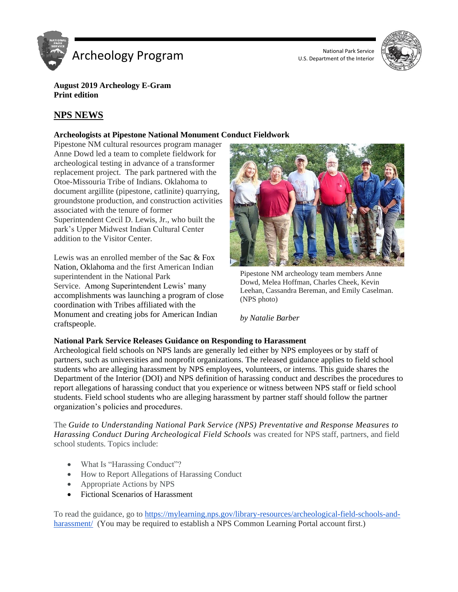



**August 2019 Archeology E-Gram Print edition**

# **NPS NEWS**

## **Archeologists at Pipestone National Monument Conduct Fieldwork**

Pipestone NM cultural resources program manager Anne Dowd led a team to complete fieldwork for archeological testing in advance of a transformer replacement project. The park partnered with the Otoe-Missouria Tribe of Indians. Oklahoma to document argillite (pipestone, catlinite) quarrying, groundstone production, and construction activities associated with the tenure of former Superintendent Cecil D. Lewis, Jr., who built the park's Upper Midwest Indian Cultural Center addition to the Visitor Center.

Lewis was an enrolled member of the Sac & Fox Nation, Oklahoma and the first American Indian superintendent in the National Park Service. Among Superintendent Lewis' many accomplishments was launching a program of close coordination with Tribes affiliated with the Monument and creating jobs for American Indian craftspeople.



Pipestone NM archeology team members Anne Dowd, Melea Hoffman, Charles Cheek, Kevin Leehan, Cassandra Bereman, and Emily Caselman. (NPS photo)

*by Natalie Barber* 

## **National Park Service Releases Guidance on Responding to Harassment**

Archeological field schools on NPS lands are generally led either by NPS employees or by staff of partners, such as universities and nonprofit organizations. The released guidance applies to field school students who are alleging harassment by NPS employees, volunteers, or interns. This guide shares the Department of the Interior (DOI) and NPS definition of harassing conduct and describes the procedures to report allegations of harassing conduct that you experience or witness between NPS staff or field school students. Field school students who are alleging harassment by partner staff should follow the partner organization's policies and procedures.

The *Guide to Understanding National Park Service (NPS) Preventative and Response Measures to Harassing Conduct During Archeological Field Schools* was created for NPS staff, partners, and field school students. Topics include:

- What Is "Harassing Conduct"?
- How to Report Allegations of Harassing Conduct
- Appropriate Actions by NPS
- Fictional Scenarios of Harassment

To read the guidance, go to [https://mylearning.nps.gov/library-resources/archeological-field-schools-and](https://mylearning.nps.gov/library-resources/archeological-field-schools-and-harassment/)[harassment/](https://mylearning.nps.gov/library-resources/archeological-field-schools-and-harassment/) (You may be required to establish a NPS Common Learning Portal account first.)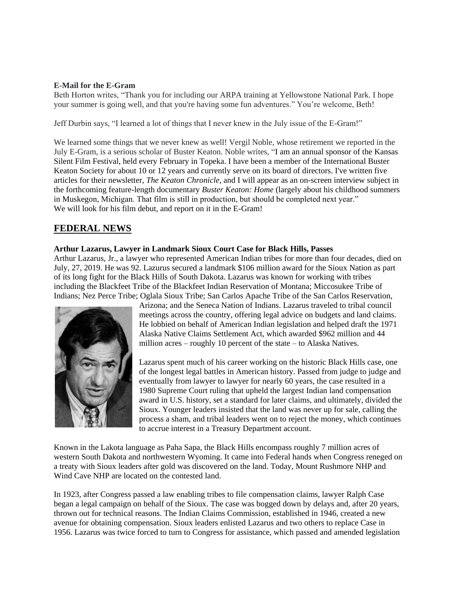## **E-Mail for the E-Gram**

Beth Horton writes, "Thank you for including our ARPA training at Yellowstone National Park. I hope your summer is going well, and that you're having some fun adventures." You're welcome, Beth!

Jeff Durbin says, "I learned a lot of things that I never knew in the July issue of the E-Gram!"

We learned some things that we never knew as well! Vergil Noble, whose retirement we reported in the July E-Gram, is a serious scholar of Buster Keaton. Noble writes, "I am an annual sponsor of the Kansas Silent Film Festival, held every February in Topeka. I have been a member of the International Buster Keaton Society for about 10 or 12 years and currently serve on its board of directors. I've written five articles for their newsletter, *The Keaton Chronicle*, and I will appear as an on-screen interview subject in the forthcoming feature-length documentary *Buster Keaton: Home* (largely about his childhood summers in Muskegon, Michigan. That film is still in production, but should be completed next year." We will look for his film debut, and report on it in the E-Gram!

# **FEDERAL NEWS**

## **Arthur Lazarus, Lawyer in Landmark Sioux Court Case for Black Hills, Passes**

Arthur Lazarus, Jr., a lawyer who represented American Indian tribes for more than four decades, died on July, 27, 2019. He was 92. Lazurus secured a landmark \$106 million award for the Sioux Nation as part of its long fight for the Black Hills of South Dakota. Lazarus was known for working with tribes including the Blackfeet Tribe of the Blackfeet Indian Reservation of Montana; Miccosukee Tribe of Indians; Nez Perce Tribe; Oglala Sioux Tribe; San Carlos Apache Tribe of the San Carlos Reservation,



Arizona; and the Seneca Nation of Indians. Lazarus traveled to tribal council meetings across the country, offering legal advice on budgets and land claims. He lobbied on behalf of American Indian legislation and helped draft the 1971 Alaska Native Claims Settlement Act, which awarded \$962 million and 44 million acres – roughly 10 percent of the state – to Alaska Natives.

Lazarus spent much of his career working on the historic Black Hills case, one of the longest legal battles in American history. Passed from judge to judge and eventually from lawyer to lawyer for nearly 60 years, the case resulted in a 1980 Supreme Court ruling that upheld the largest Indian land compensation award in U.S. history, set a standard for later claims, and ultimately, divided the Sioux. Younger leaders insisted that the land was never up for sale, calling the process a sham, and tribal leaders went on to reject the money, which continues to accrue interest in a Treasury Department account.

Known in the Lakota language as Paha Sapa, the Black Hills encompass roughly 7 million acres of western South Dakota and northwestern Wyoming. It came into Federal hands when Congress reneged on a treaty with Sioux leaders after gold was discovered on the land. Today, Mount Rushmore NHP and Wind Cave NHP are located on the contested land.

In 1923, after Congress passed a law enabling tribes to file compensation claims, lawyer Ralph Case began a legal campaign on behalf of the Sioux. The case was bogged down by delays and, after 20 years, thrown out for technical reasons. The Indian Claims Commission, established in 1946, created a new avenue for obtaining compensation. Sioux leaders enlisted Lazarus and two others to replace Case in 1956. Lazarus was twice forced to turn to Congress for assistance, which passed and amended legislation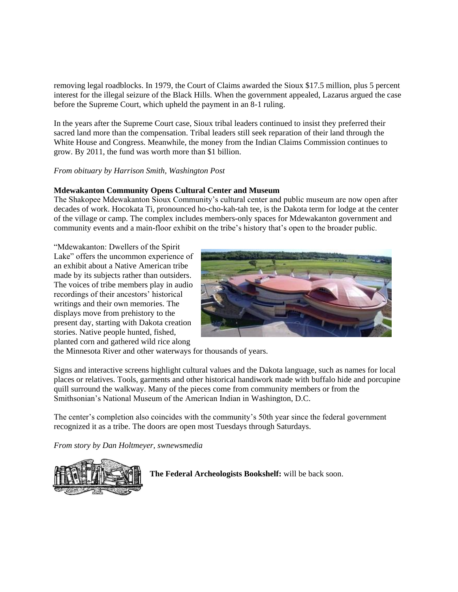removing legal roadblocks. In 1979, the Court of Claims awarded the Sioux \$17.5 million, plus 5 percent interest for the illegal seizure of the Black Hills. When the government appealed, Lazarus argued the case before the Supreme Court, which upheld the payment in an 8-1 ruling.

In the years after the Supreme Court case, Sioux tribal leaders continued to insist they preferred their sacred land more than the compensation. Tribal leaders still seek reparation of their land through the White House and Congress. Meanwhile, the money from the Indian Claims Commission continues to grow. By 2011, the fund was worth more than \$1 billion.

## *From obituary by Harrison Smith, Washington Post*

## **Mdewakanton Community Opens Cultural Center and Museum**

The Shakopee Mdewakanton Sioux Community's cultural center and public museum are now open after decades of work. Hocokata Ti, pronounced ho-cho-kah-tah tee, is the Dakota term for lodge at the center of the village or camp. The complex includes members-only spaces for Mdewakanton government and community events and a main-floor exhibit on the tribe's history that's open to the broader public.

"Mdewakanton: Dwellers of the Spirit Lake" offers the uncommon experience of an exhibit about a Native American tribe made by its subjects rather than outsiders. The voices of tribe members play in audio recordings of their ancestors' historical writings and their own memories. The displays move from prehistory to the present day, starting with Dakota creation stories. Native people hunted, fished, planted corn and gathered wild rice along



the Minnesota River and other waterways for thousands of years.

Signs and interactive screens highlight cultural values and the Dakota language, such as names for local places or relatives. Tools, garments and other historical handiwork made with buffalo hide and porcupine quill surround the walkway. Many of the pieces come from community members or from the Smithsonian's National Museum of the American Indian in Washington, D.C.

The center's completion also coincides with the community's 50th year since the federal government recognized it as a tribe. The doors are open most Tuesdays through Saturdays.

*From story by Dan Holtmeyer, swnewsmedia*



**The Federal Archeologists Bookshelf:** will be back soon.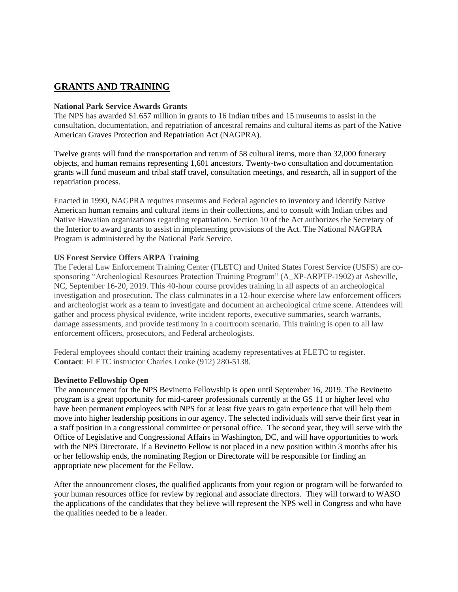# **GRANTS AND TRAINING**

## **National Park Service Awards Grants**

The NPS has awarded \$1.657 million in grants to 16 Indian tribes and 15 museums to assist in the consultation, documentation, and repatriation of ancestral remains and cultural items as part of the Native American Graves Protection and Repatriation Act (NAGPRA).

Twelve grants will fund the transportation and return of 58 cultural items, more than 32,000 funerary objects, and human remains representing 1,601 ancestors. Twenty-two consultation and documentation grants will fund museum and tribal staff travel, consultation meetings, and research, all in support of the repatriation process.

Enacted in 1990, NAGPRA requires museums and Federal agencies to inventory and identify Native American human remains and cultural items in their collections, and to consult with Indian tribes and Native Hawaiian organizations regarding repatriation. Section 10 of the Act authorizes the Secretary of the Interior to award grants to assist in implementing provisions of the Act. The National NAGPRA Program is administered by the National Park Service.

## **US Forest Service Offers ARPA Training**

The Federal Law Enforcement Training Center (FLETC) and United States Forest Service (USFS) are cosponsoring "Archeological Resources Protection Training Program" (A\_XP-ARPTP-1902) at Asheville, NC, September 16-20, 2019. This 40-hour course provides training in all aspects of an archeological investigation and prosecution. The class culminates in a 12-hour exercise where law enforcement officers and archeologist work as a team to investigate and document an archeological crime scene. Attendees will gather and process physical evidence, write incident reports, executive summaries, search warrants, damage assessments, and provide testimony in a courtroom scenario. This training is open to all law enforcement officers, prosecutors, and Federal archeologists.

Federal employees should contact their training academy representatives at FLETC to register. **Contact**: FLETC instructor Charles Louke (912) 280-5138.

#### **Bevinetto Fellowship Open**

The announcement for the NPS Bevinetto Fellowship is open until September 16, 2019. The Bevinetto program is a great opportunity for mid-career professionals currently at the GS 11 or higher level who have been permanent employees with NPS for at least five years to gain experience that will help them move into higher leadership positions in our agency. The selected individuals will serve their first year in a staff position in a congressional committee or personal office. The second year, they will serve with the Office of Legislative and Congressional Affairs in Washington, DC, and will have opportunities to work with the NPS Directorate. If a Bevinetto Fellow is not placed in a new position within 3 months after his or her fellowship ends, the nominating Region or Directorate will be responsible for finding an appropriate new placement for the Fellow.

After the announcement closes, the qualified applicants from your region or program will be forwarded to your human resources office for review by regional and associate directors. They will forward to WASO the applications of the candidates that they believe will represent the NPS well in Congress and who have the qualities needed to be a leader.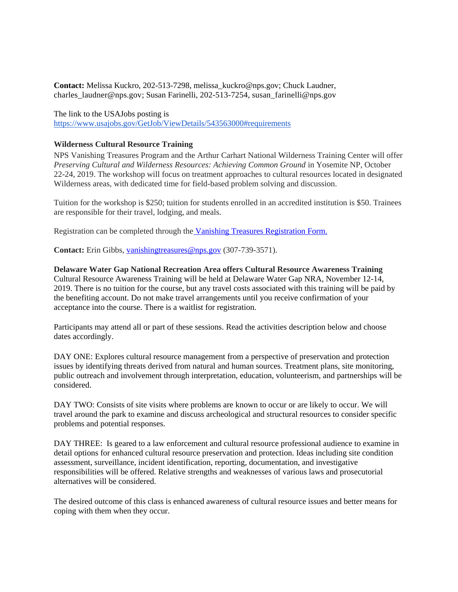**Contact:** Melissa Kuckro, 202-513-7298, melissa\_kuckro@nps.gov; Chuck Laudner, charles\_laudner@nps.gov; Susan Farinelli, 202-513-7254, susan\_farinelli@nps.gov

The link to the USAJobs posting is <https://www.usajobs.gov/GetJob/ViewDetails/543563000#requirements>

## **Wilderness Cultural Resource Training**

NPS Vanishing Treasures Program and the Arthur Carhart National Wilderness Training Center will offer *Preserving Cultural and Wilderness Resources: Achieving Common Ground* in Yosemite NP, October 22-24, 2019. The workshop will focus on treatment approaches to cultural resources located in designated Wilderness areas, with dedicated time for field-based problem solving and discussion.

Tuition for the workshop is \$250; tuition for students enrolled in an accredited institution is \$50. Trainees are responsible for their travel, lodging, and meals.

Registration can be completed through the [Vanishing Treasures Registration Form.](https://forms.gle/bbjGwxB7YVG9Vueh8)

**Contact:** Erin Gibbs, [vanishingtreasures@nps.gov](mailto:vanishingtreasures@nps.gov) (307-739-3571).

## **Delaware Water Gap National Recreation Area offers Cultural Resource Awareness Training**

Cultural Resource Awareness Training will be held at Delaware Water Gap NRA, November 12-14, 2019. There is no tuition for the course, but any travel costs associated with this training will be paid by the benefiting account. Do not make travel arrangements until you receive confirmation of your acceptance into the course. There is a waitlist for registration.

Participants may attend all or part of these sessions. Read the activities description below and choose dates accordingly.

DAY ONE: Explores cultural resource management from a perspective of preservation and protection issues by identifying threats derived from natural and human sources. Treatment plans, site monitoring, public outreach and involvement through interpretation, education, volunteerism, and partnerships will be considered.

DAY TWO: Consists of site visits where problems are known to occur or are likely to occur. We will travel around the park to examine and discuss archeological and structural resources to consider specific problems and potential responses.

DAY THREE: Is geared to a law enforcement and cultural resource professional audience to examine in detail options for enhanced cultural resource preservation and protection. Ideas including site condition assessment, surveillance, incident identification, reporting, documentation, and investigative responsibilities will be offered. Relative strengths and weaknesses of various laws and prosecutorial alternatives will be considered.

The desired outcome of this class is enhanced awareness of cultural resource issues and better means for coping with them when they occur.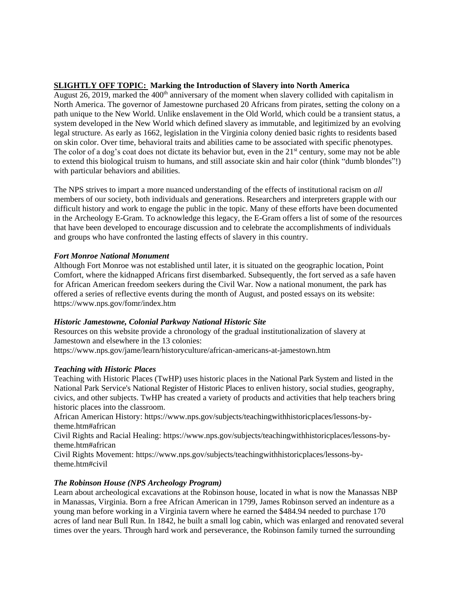## **SLIGHTLY OFF TOPIC: Marking the Introduction of Slavery into North America**

August 26, 2019, marked the  $400<sup>th</sup>$  anniversary of the moment when slavery collided with capitalism in North America. The governor of Jamestowne purchased 20 Africans from pirates, setting the colony on a path unique to the New World. Unlike enslavement in the Old World, which could be a transient status, a system developed in the New World which defined slavery as immutable, and legitimized by an evolving legal structure. As early as 1662, legislation in the Virginia colony denied basic rights to residents based on skin color. Over time, behavioral traits and abilities came to be associated with specific phenotypes. The color of a dog's coat does not dictate its behavior but, even in the  $21<sup>st</sup>$  century, some may not be able to extend this biological truism to humans, and still associate skin and hair color (think "dumb blondes"!) with particular behaviors and abilities.

The NPS strives to impart a more nuanced understanding of the effects of institutional racism on *all*  members of our society, both individuals and generations. Researchers and interpreters grapple with our difficult history and work to engage the public in the topic. Many of these efforts have been documented in the Archeology E-Gram. To acknowledge this legacy, the E-Gram offers a list of some of the resources that have been developed to encourage discussion and to celebrate the accomplishments of individuals and groups who have confronted the lasting effects of slavery in this country.

## *Fort Monroe National Monument*

Although Fort Monroe was not established until later, it is situated on the geographic location, Point Comfort, where the kidnapped Africans first disembarked. Subsequently, the fort served as a safe haven for African American freedom seekers during the Civil War. Now a national monument, the park has offered a series of reflective events during the month of August, and posted essays on its website: https://www.nps.gov/fomr/index.htm

#### *Historic Jamestowne, Colonial Parkway National Historic Site*

Resources on this website provide a chronology of the gradual institutionalization of slavery at Jamestown and elsewhere in the 13 colonies:

https://www.nps.gov/jame/learn/historyculture/african-americans-at-jamestown.htm

## *Teaching with Historic Places*

Teaching with Historic Places (TwHP) uses historic places in the National Park System and listed in the National Park Service's National Register of Historic Places to enliven history, social studies, geography, civics, and other subjects. TwHP has created a variety of products and activities that help teachers bring historic places into the classroom.

African American History: https://www.nps.gov/subjects/teachingwithhistoricplaces/lessons-bytheme.htm#african

Civil Rights and Racial Healing: https://www.nps.gov/subjects/teachingwithhistoricplaces/lessons-bytheme.htm#african

Civil Rights Movement: https://www.nps.gov/subjects/teachingwithhistoricplaces/lessons-bytheme.htm#civil

## *The Robinson House (NPS Archeology Program)*

Learn about archeological excavations at the Robinson house, located in what is now the Manassas NBP in Manassas, Virginia. Born a free African American in 1799, James Robinson served an indenture as a young man before working in a Virginia tavern where he earned the \$484.94 needed to purchase 170 acres of land near Bull Run. In 1842, he built a small log cabin, which was enlarged and renovated several times over the years. Through hard work and perseverance, the Robinson family turned the surrounding